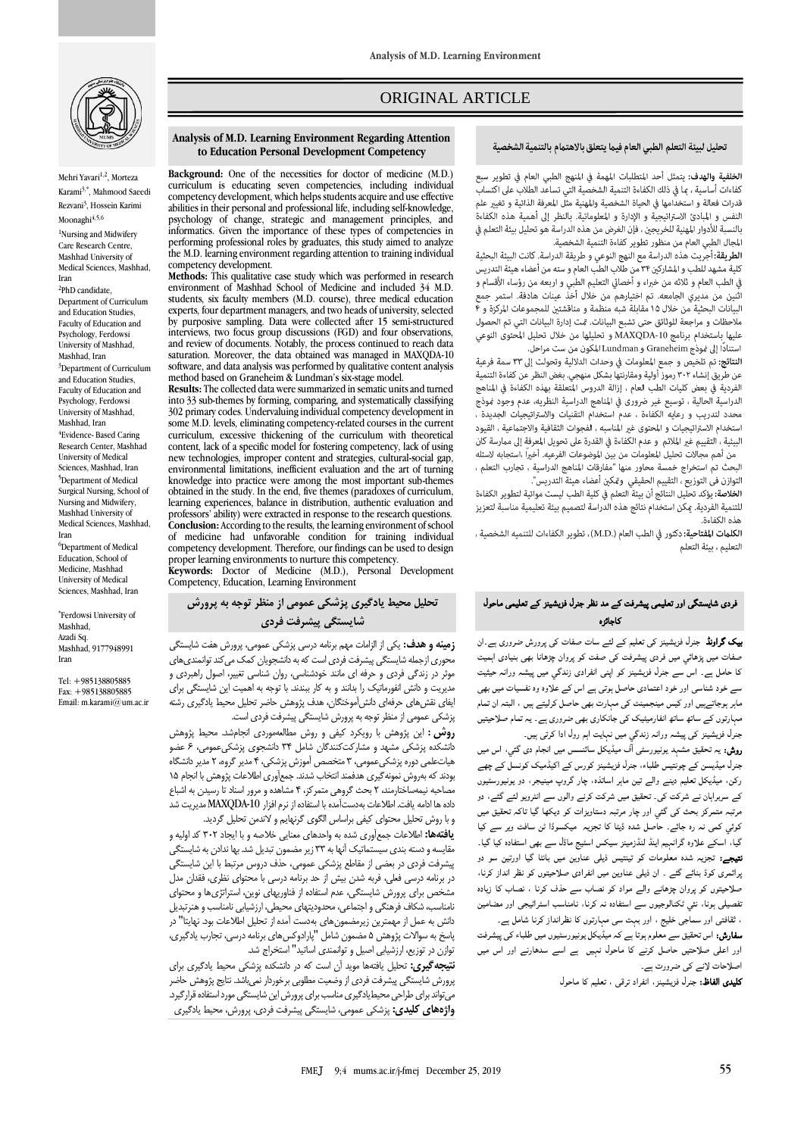

Mehri Yavari<sup>1,2</sup>, Morteza Karami3,\* , Mahmood Saeedi Rezvani<sup>3</sup>, Hossein Karimi Moonaghi<sup>4,5,6</sup> <sup>1</sup>Nursing and Midwifery

Care Research Centre, Mashhad University of Medical Sciences, Mashhad, Iran

<sup>2</sup>PhD candidate, Department of Curriculum and Education Studies Faculty of Education and Psychology, Ferdowsi University of Mashhad, Mashhad, Iran <sup>3</sup>Department of Curriculum and Education Studies, Faculty of Education and Psychology, Ferdowsi University of Mashhad, Mashhad, Iran <sup>4</sup>Evidence- Based Caring Research Center, Mashhad University of Medical Sciences, Mashhad, Iran <sup>5</sup>Department of Medical Surgical Nursing, School of Nursing and Midwifery, Mashhad University of Medical Sciences, Mashhad, Iran <sup>6</sup>Department of Medical Education, School of

Medicine, Mashhad University of Medical Sciences, Mashhad, Iran

\* Ferdowsi University of Mashhad, Azadi Sq. Mashhad, 9177948991 Iran

Tel: +985138805885 Fax: +985138805885 Email: m.karami@um.ac.ir

# ORIGINAL ARTICLE

#### تحليل لبيئة التعلم الطبى العام فيما يتعلق بالاهتمام بالتنمية الشخصية

ص

ا**لخلفية والهدف:** يتمثل أحد المتطلبات المهمة في المنهج الطبي العام في تطوير سبع كفاءات أساسية ، ما في ذلك الكفاءة التنمية الشخصية التى تساعد الطلاب على اكتساب قدرات فعالة و استخدامها في الحياة الشخصية والمهنية مثل المعرفة الذاتية و تغيير علم النفس و المبادئ الاستراتيجية و الإدارة و المعلوماتية. بالنظر إلى أهمية هذه الكفاءة بالنسبة للأدوار المهنية للخريجين ، فإن الغرض من هذه الدراسة هو تحليل بيئة التعلم في المجال الطبي العام من منظور تطوير كفاءة التنمية الشخصية.

ا**لطريقة:** أُجريت هذه الدراسة مع النهج النوعي و طريقة الدراسة. كانت البيئة البحثية كلية مشهد للطب و المشاركين ٣۴ من طلاب الطب العام و سته من أعضاء هيئة التدريس في الطب العام و ثلاثه من خبراء و أخصائي التعليم الطبي و اربعه من رؤساء الأقسام و .<br>اثنين من مديري الجامعه. تم اختيارهم من خلال أخذ عينات هادفة. استمر جمع البيانات البحثية من خلال ١٥ مقابلة شبه منظمة و مناقشتين للمجموعات المركزة و ۴ ملاحظات و مراجعة للوثائق حتى تشبع البيانات. مّت إدارة البيانات التي تم الحصول عليها باستخدام برنامج MAXQDA-10 و تحليلها من خلال تحليل المحتوى النوعي استنادًا إلى مُوذَج Graneheim و Lundman المكون من ست مراحل.

النتائج: تم تلخيص و جمع المعلومات في وحدات الدلالية وتحولت إلى ٣٣ سمة فرعية عن طريق إنشاء ٣٠٢ رموز أولية ومقارنتها بشكل منهجي. بغض النظر عن كفاءة التنمية الفردية في بعض كليات الطب العام ، إزالة الدروس المتعلقة بهذه الكفاءة في المناهج الدراسية الحالية ، توسيع غير ضرورى في المناهج الدراسية النظريه، عدم وجود نموذج محدد لتدريب و رعايه الكفاءة ، عدم استخدام التقنيات والاستراتيجيات الجديدة ، استخدام الاستراتيجيات و المحتوى غير المناسبه ، الفجوات الثقافية والاجتماعية ، القيود البيئية ، التقييم غير الملائم و عدم الكفاءة في القدرة على تحويل المعرفة إلى ممارسة كان

من أهم مجالات تحليل المعلومات من بين الموضوعات الفرعيه. أخبراً ،استجابه لاسئله البحث تم استخراج خمسة محاور منها "مفارقات المناهج الدراسية ، تجارب التعلم ، التوازن فى التوزيع ، التقييم الحقيقى ومّكين أعضاء هيئة التدريس".

الخلاصة: يؤكد تحلِّيل النتائج أن بيئة التعلم في كلية الطب ليست مواتية لتطوير الكفاءة للتنمية الفردية. عكن استخدام نتائج هذه الدراسة لتصميم بيئة تعليمية مناسبة لتعزيز هذه الكفاءة.

ا**لكلمات المفتاحية:** دكتور في الطب العام (.M.D) ، تطوير الكفاءات للتنميه الشخصية ، التعليم ، بيئة التعلم

### فردی شایستگی اور تعلیمی پیشرفت کے مد نظر جنرل فزیشینز کے تعلیمی ماحول کاجائزہ

بیک گراونڈ جنرل فزیشینز کی تعلیم کے لئے سات صفات کی پرورش ضروری ہے۔ان صفات میں پڑھائي میں فردی پیشرفت کی صفت کو پروان چڑھانا بھی بنیادی اہمیت کا حامل ہے۔ اس سے جنرل فزیشینز کو اپنی انفرادی زندگي میں پیشہ ورانہ حیثیت سے خود شناسی اور خود اعتمادی حاصل ہوتی ہے اس کے علاوہ وہ نفسیات میں بھی ماہر ہوجاتےہیں اور کیس مینجمینٹ کی مہارت بھی حاصل کرلیتے ہیں ، البتہ ان تمام مہارتوں کے ساتھ ساتھ انفارمیٹیک کی جانکاری بھی ضروری ہے۔ یہ تمام صلاحیتیں جنرل فزیشینز کی پیشہ ورانہ زندگي میں نہایت اہم رول ادا کرتی ہیں۔

روش: یہ تحقیق مشہد یونیورسٹی ا ف میڈیکل سائنسس میں انجام دی گئي، اس میں جنرل میڈیسن کے چونتیس طلباء، جنرل فزیشینز کورس کے اکیڈمیک کونسل کے چھے رکن، میڈیکل تعلیم دینے والے تین ماہر اساتذہ، چار گروپ مینیجر، دو یونیورسٹیوں کے سربراہان نے شرکت کی۔ تحقیق میں شرکت کرنے والوں سے انٹرویو لئے گئے، دو مرتبہ متمرکز بحث کی گئي اور چار مرتبہ دستاویزات کو دیکھا گيا تاکہ تحقیق میں کوئي کمی نہ رہ جائے۔ حاصل شدہ ڈیٹا کا تجزیہ میکسوڈا ٹن سافٹ ویر سے کیا گيا، اسکے علاوہ گرانہیم اینڈ لنڈزمینز سیکس اسٹیج ماڈل سے بھی استفادہ کیا گيا۔ نتیجے: تجزیہ شدہ معلومات کو تینتیس ذیلی عناوین میں بانٹا گيا اورتین سو دو پرائمری کوڈ بنائے گئے ۔ ان ذیلی عناوین میں انفرادی صلاحیتوں کو نظر انداز کرنا، صلاحیتوں کو پروان چڑھانے والے مواد کو نصاب سے حذف کرنا ، نصاب کا زیادہ تفصیلی ہونا، نئي ٹکنالوجیوں سے استفادہ نہ کرنا، نامناسب اسٹراٹیجی اور مضامین ، ثقافتی اور سماجی خلیج ، اور بہت سی مہارتوں کا نظرانداز کرنا شامل ہے۔

سفارش: اس تحقیق سے معلوم ہوتا ہے کہ میڈیکل یونیورسٹیوں میں طلباء کی پیشرفت اور اعلی صلاحتیں حاصل کرنے کا ماحول نہیں ہے اسے سدھارنے اور اس میں اصلاحات لانے کی ضرورت ہے۔

کلیدی الفاظ: جنرل فزیشینز، انفراد ترقی ، تعلیم کا ماحول

#### **Analysis of M.D. Learning Environment Regarding Attention to Education Personal Development Competency**

**Background:** One of the necessities for doctor of medicine (M.D.) curriculum is educating seven competencies, including individual competency development, which helps students acquire and use effective abilities in their personal and professional life, including self-knowledge, psychology of change, strategic and management principles, and informatics. Given the importance of these types of competencies in performing professional roles by graduates, this study aimed to analyze the M.D. learning environment regarding attention to training individual competency development.

**Methods:** This qualitative case study which was performed in research environment of Mashhad School of Medicine and included 34 M.D. students, six faculty members (M.D. course), three medical education experts, four department managers, and two heads of university, selected by purposive sampling. Data were collected after 15 semi-structured interviews, two focus group discussions (FGD) and four observations, and review of documents. Notably, the process continued to reach data saturation. Moreover, the data obtained was managed in MAXQDA-10 software, and data analysis was performed by qualitative content analysis method based on Graneheim & Lundman's six-stage model.

**Results:** The collected data were summarized in sematic units and turned into 33 sub-themes by forming, comparing, and systematically classifying 302 primary codes. Undervaluing individual competency development in some M.D. levels, eliminating competency-related courses in the current curriculum, excessive thickening of the curriculum with theoretical content, lack of a specific model for fostering competency, lack of using new technologies, improper content and strategies, cultural-social gap, environmental limitations, inefficient evaluation and the art of turning knowledge into practice were among the most important sub-themes obtained in the study. In the end, five themes (paradoxes of curriculum, learning experiences, balance in distribution, authentic evaluation and professors' ability) were extracted in response to the research questions. **Conclusion:** According to the results, the learning environment of school of medicine had unfavorable condition for training individual competency development. Therefore, our findings can be used to design proper learning environments to nurture this competency.

**Keywords:** Doctor of Medicine (M.D.), Personal Development Competency, Education, Learning Environment

## **تحلیل محیط یادگیری پزشکی عمومی از منظر توجه به پرورش شایستگی پیشرفت فردی**

**زمینه و هدف:** یکی از الزامات مهم برنامه درسی پزشکی عمومی، پرورش هفت شایستگی محوری ازجمله شایستگی پیشرفت فردی است که به دانشجویان کمک میکند توانمندیهای موثر در زندگی فردی و حرفه ای مانند خودشناسی، روان شناسی تغییر، اصول راهبردی و مدیریت و دانش انفورماتیک را بدانند و به کار ببندند. با توجه به اهمیت این شایستگی برای ایفای نقشهای حرفهای دانشآموختگان، هدف پژوهش حاضر تحلیل محیط یادگیری رشته پزشکی عمومی از منظر توجه به پرورش شایستگی پیشرفت فردی است.

**روش:** این پژوهش با رویکرد کیفی و روش مطالعهموردی انجامشد. محیط پژوهش دانشکده پزشکی مشهد و مشارکتکنندگان شامل 34 دانشجوی پزشکیعمومی، 6 عضو هیاتعلمی دوره پزشکیعمومی، 3 متخصص آموزش پزشکی، 4 مدیر گروه، 2 مدیر دانشگاه بودند که بهروش نمونهگیری هدفمند انتخاب شدند. جمعآوری اطالعات پژوهش با انجام 15 مصاحبه نیمهساختارمند، 2 بحث گروهی متمرکز، 4 مشاهده و مرور اسناد تا رسیدن به اشباع داده ها ادامه یافت. اطالعات بهدستآمده با استفاده از نرم افزار -10MAXQDAمدیریت شد و با روش تحلیل محتوای کیفی براساس الگوی گرنهایم و الندمن تحلیل گردید.

**یافتهها:** اطالعات جمعآوری شده به واحدهای معنایی خالصه و با ایجاد 302 کد اولیه و مقایسه و دسته بندی سیستماتیک آنها به 33 زیر مضمون تبدیل شد. بها ندادن به شایستگی پیشرفت فردی در بعضی از مقاطع پزشکی عمومی، حذف دروس مرتبط با این شایستگی در برنامه درسی فعلی، فربه شدن بیش از حد برنامه درسی با محتوای نظری، فقدان مدل مشخص برای پرورش شایستگی، عدم استفاده از فناوریهای نوین، استراتژیها و محتوای نامناسب، شکاف فرهنگی و اجتماعی، محدودیتهای محیطی، ارزشیابی نامناسب و هنرتبدیل دانش به عمل از مهمترین زیرمضمونهای بهدست آمده از تحلیل اطالعات بود. نهایتا" در پاسخ به سواالت پژوهش 5 مضمون شامل "پارادوکسهای برنامه درسی، تجارب یادگیری، توازن در توزیع، ارزشیابی اصیل و توانمندی اساتید" استخراج شد.

**نتیجهگیری:** تحلیل یافتهها موید آن است که در دانشکده پزشکی محیط یادگیری برای پرورش شایستگی پیشرفت فردی از وضعیت مطلوبی برخوردار نمیباشد. نتایج پژوهش حاضر میتواند برای طراحی محیطیادگیری مناسب برای پرورش این شایستگی مورد استفاده قرارگیرد. **واژههای کلیدی:** پزشکی عمومی، شایستگی پیشرفت فردی، پرورش، محیط یادگیری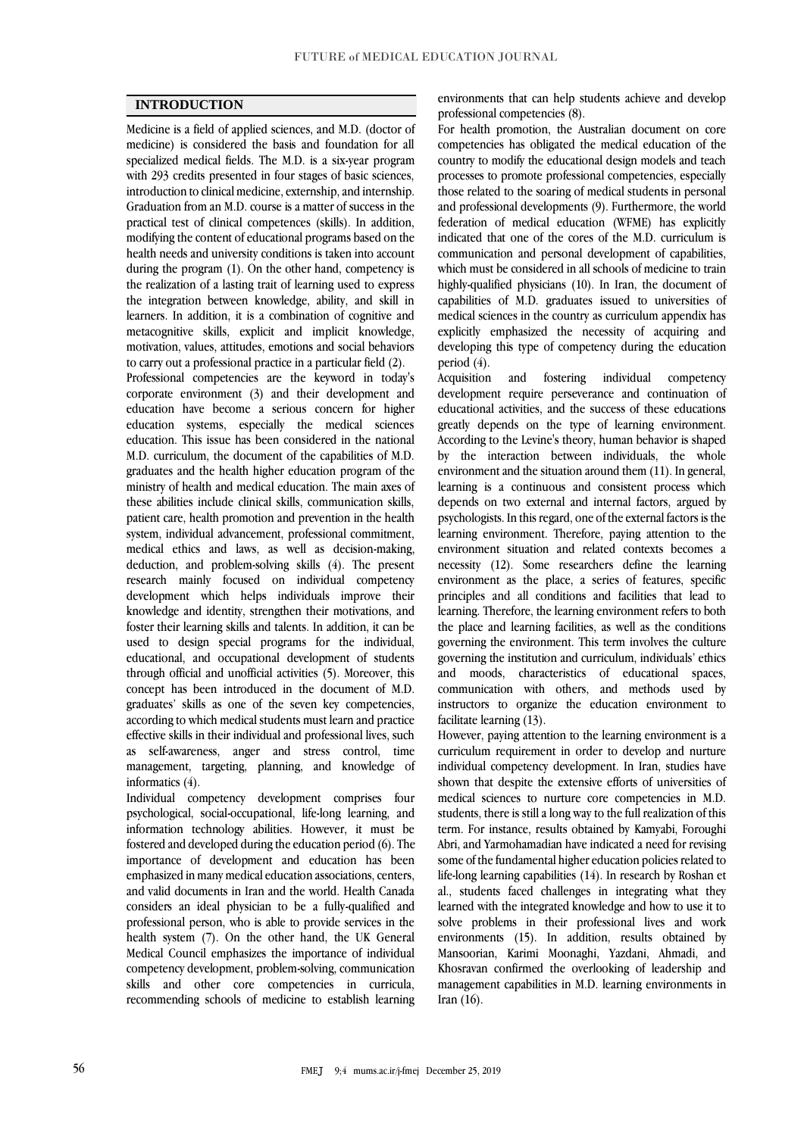### **INTRODUCTION**

Medicine is a field of applied sciences, and M.D. (doctor of medicine) is considered the basis and foundation for all specialized medical fields. The M.D. is a six-year program with 293 credits presented in four stages of basic sciences, introduction to clinical medicine, externship, and internship. Graduation from an M.D. course is a matter of success in the practical test of clinical competences (skills). In addition, modifying the content of educational programs based on the health needs and university conditions is taken into account during the program (1). On the other hand, competency is the realization of a lasting trait of learning used to express the integration between knowledge, ability, and skill in learners. In addition, it is a combination of cognitive and metacognitive skills, explicit and implicit knowledge, motivation, values, attitudes, emotions and social behaviors to carry out a professional practice in a particular field (2).

Professional competencies are the keyword in today's corporate environment (3) and their development and education have become a serious concern for higher education systems, especially the medical sciences education. This issue has been considered in the national M.D. curriculum, the document of the capabilities of M.D. graduates and the health higher education program of the ministry of health and medical education. The main axes of these abilities include clinical skills, communication skills, patient care, health promotion and prevention in the health system, individual advancement, professional commitment, medical ethics and laws, as well as decision-making, deduction, and problem-solving skills (4). The present research mainly focused on individual competency development which helps individuals improve their knowledge and identity, strengthen their motivations, and foster their learning skills and talents. In addition, it can be used to design special programs for the individual, educational, and occupational development of students through official and unofficial activities (5). Moreover, this concept has been introduced in the document of M.D. graduates' skills as one of the seven key competencies, according to which medical students must learn and practice effective skills in their individual and professional lives, such as self-awareness, anger and stress control, time management, targeting, planning, and knowledge of informatics (4).

Individual competency development comprises four psychological, social-occupational, life-long learning, and information technology abilities. However, it must be fostered and developed during the education period (6). The importance of development and education has been emphasized in many medical education associations, centers, and valid documents in Iran and the world. Health Canada considers an ideal physician to be a fully-qualified and professional person, who is able to provide services in the health system (7). On the other hand, the UK General Medical Council emphasizes the importance of individual competency development, problem-solving, communication skills and other core competencies in curricula, recommending schools of medicine to establish learning environments that can help students achieve and develop professional competencies (8).

For health promotion, the Australian document on core competencies has obligated the medical education of the country to modify the educational design models and teach processes to promote professional competencies, especially those related to the soaring of medical students in personal and professional developments (9). Furthermore, the world federation of medical education (WFME) has explicitly indicated that one of the cores of the M.D. curriculum is communication and personal development of capabilities, which must be considered in all schools of medicine to train highly-qualified physicians (10). In Iran, the document of capabilities of M.D. graduates issued to universities of medical sciences in the country as curriculum appendix has explicitly emphasized the necessity of acquiring and developing this type of competency during the education period (4).

Acquisition and fostering individual competency development require perseverance and continuation of educational activities, and the success of these educations greatly depends on the type of learning environment. According to the Levine's theory, human behavior is shaped by the interaction between individuals, the whole environment and the situation around them (11). In general, learning is a continuous and consistent process which depends on two external and internal factors, argued by psychologists. In this regard, one of the external factors is the learning environment. Therefore, paying attention to the environment situation and related contexts becomes a necessity (12). Some researchers define the learning environment as the place, a series of features, specific principles and all conditions and facilities that lead to learning. Therefore, the learning environment refers to both the place and learning facilities, as well as the conditions governing the environment. This term involves the culture governing the institution and curriculum, individuals' ethics and moods, characteristics of educational spaces, communication with others, and methods used by instructors to organize the education environment to facilitate learning (13).

However, paying attention to the learning environment is a curriculum requirement in order to develop and nurture individual competency development. In Iran, studies have shown that despite the extensive efforts of universities of medical sciences to nurture core competencies in M.D. students, there is still a long way to the full realization of this term. For instance, results obtained by Kamyabi, Foroughi Abri, and Yarmohamadian have indicated a need for revising some of the fundamental higher education policies related to life-long learning capabilities (14). In research by Roshan et al., students faced challenges in integrating what they learned with the integrated knowledge and how to use it to solve problems in their professional lives and work environments (15). In addition, results obtained by Mansoorian, Karimi Moonaghi, Yazdani, Ahmadi, and Khosravan confirmed the overlooking of leadership and management capabilities in M.D. learning environments in Iran (16).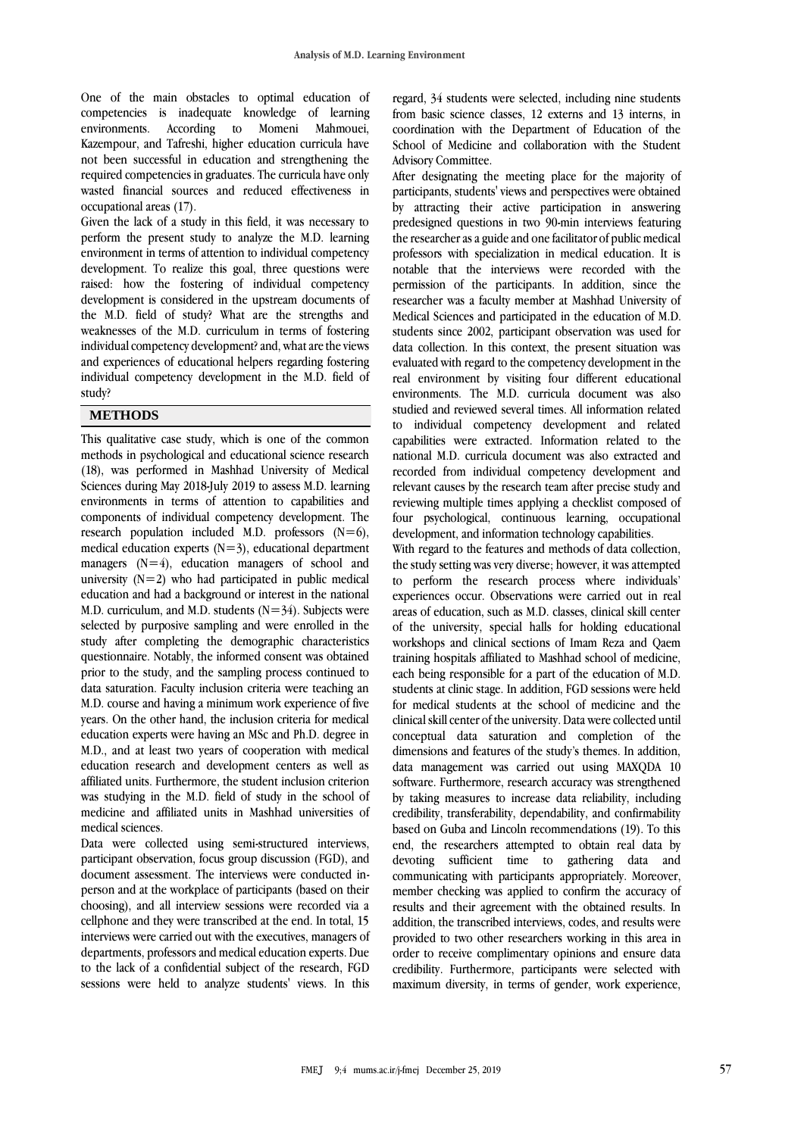One of the main obstacles to optimal education of competencies is inadequate knowledge of learning environments. According to Momeni Mahmouei, Kazempour, and Tafreshi, higher education curricula have not been successful in education and strengthening the required competencies in graduates. The curricula have only wasted financial sources and reduced effectiveness in occupational areas (17).

Given the lack of a study in this field, it was necessary to perform the present study to analyze the M.D. learning environment in terms of attention to individual competency development. To realize this goal, three questions were raised: how the fostering of individual competency development is considered in the upstream documents of the M.D. field of study? What are the strengths and weaknesses of the M.D. curriculum in terms of fostering individual competency development? and, what are the views and experiences of educational helpers regarding fostering individual competency development in the M.D. field of study?

#### **METHODS**

This qualitative case study, which is one of the common methods in psychological and educational science research (18), was performed in Mashhad University of Medical Sciences during May 2018-July 2019 to assess M.D. learning environments in terms of attention to capabilities and components of individual competency development. The research population included M.D. professors  $(N=6)$ , medical education experts  $(N=3)$ , educational department managers  $(N=4)$ , education managers of school and university  $(N=2)$  who had participated in public medical education and had a background or interest in the national M.D. curriculum, and M.D. students  $(N=34)$ . Subjects were selected by purposive sampling and were enrolled in the study after completing the demographic characteristics questionnaire. Notably, the informed consent was obtained prior to the study, and the sampling process continued to data saturation. Faculty inclusion criteria were teaching an M.D. course and having a minimum work experience of five years. On the other hand, the inclusion criteria for medical education experts were having an MSc and Ph.D. degree in M.D., and at least two years of cooperation with medical education research and development centers as well as affiliated units. Furthermore, the student inclusion criterion was studying in the M.D. field of study in the school of medicine and affiliated units in Mashhad universities of medical sciences.

Data were collected using semi-structured interviews, participant observation, focus group discussion (FGD), and document assessment. The interviews were conducted inperson and at the workplace of participants (based on their choosing), and all interview sessions were recorded via a cellphone and they were transcribed at the end. In total, 15 interviews were carried out with the executives, managers of departments, professors and medical education experts. Due to the lack of a confidential subject of the research, FGD sessions were held to analyze students' views. In this

regard, 34 students were selected, including nine students from basic science classes, 12 externs and 13 interns, in coordination with the Department of Education of the School of Medicine and collaboration with the Student Advisory Committee.

After designating the meeting place for the majority of participants, students' views and perspectives were obtained by attracting their active participation in answering predesigned questions in two 90-min interviews featuring the researcher as a guide and one facilitator of public medical professors with specialization in medical education. It is notable that the interviews were recorded with the permission of the participants. In addition, since the researcher was a faculty member at Mashhad University of Medical Sciences and participated in the education of M.D. students since 2002, participant observation was used for data collection. In this context, the present situation was evaluated with regard to the competency development in the real environment by visiting four different educational environments. The M.D. curricula document was also studied and reviewed several times. All information related to individual competency development and related capabilities were extracted. Information related to the national M.D. curricula document was also extracted and recorded from individual competency development and relevant causes by the research team after precise study and reviewing multiple times applying a checklist composed of four psychological, continuous learning, occupational development, and information technology capabilities.

With regard to the features and methods of data collection, the study setting was very diverse; however, it was attempted to perform the research process where individuals' experiences occur. Observations were carried out in real areas of education, such as M.D. classes, clinical skill center of the university, special halls for holding educational workshops and clinical sections of Imam Reza and Qaem training hospitals affiliated to Mashhad school of medicine, each being responsible for a part of the education of M.D. students at clinic stage. In addition, FGD sessions were held for medical students at the school of medicine and the clinical skill center of the university. Data were collected until conceptual data saturation and completion of the dimensions and features of the study's themes. In addition, data management was carried out using MAXQDA 10 software. Furthermore, research accuracy was strengthened by taking measures to increase data reliability, including credibility, transferability, dependability, and confirmability based on Guba and Lincoln recommendations (19). To this end, the researchers attempted to obtain real data by devoting sufficient time to gathering data and communicating with participants appropriately. Moreover, member checking was applied to confirm the accuracy of results and their agreement with the obtained results. In addition, the transcribed interviews, codes, and results were provided to two other researchers working in this area in order to receive complimentary opinions and ensure data credibility. Furthermore, participants were selected with maximum diversity, in terms of gender, work experience,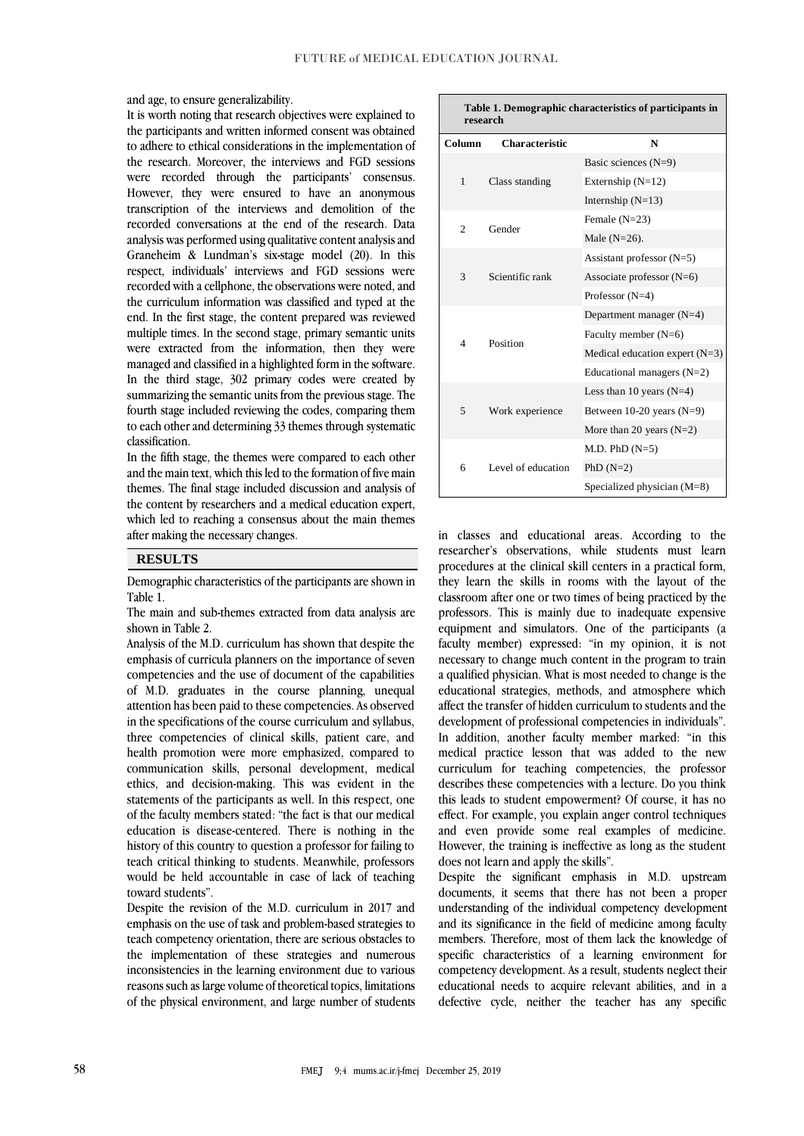and age, to ensure generalizability.

It is worth noting that research objectives were explained to the participants and written informed consent was obtained to adhere to ethical considerations in the implementation of the research. Moreover, the interviews and FGD sessions were recorded through the participants' consensus. However, they were ensured to have an anonymous transcription of the interviews and demolition of the recorded conversations at the end of the research. Data analysis was performed using qualitative content analysis and Graneheim & Lundman's six-stage model (20). In this respect, individuals' interviews and FGD sessions were recorded with a cellphone, the observations were noted, and the curriculum information was classified and typed at the end. In the first stage, the content prepared was reviewed multiple times. In the second stage, primary semantic units were extracted from the information, then they were managed and classified in a highlighted form in the software. In the third stage, 302 primary codes were created by summarizing the semantic units from the previous stage. The fourth stage included reviewing the codes, comparing them to each other and determining 33 themes through systematic classification.

In the fifth stage, the themes were compared to each other and the main text, which this led to the formation of five main themes. The final stage included discussion and analysis of the content by researchers and a medical education expert, which led to reaching a consensus about the main themes after making the necessary changes.

#### **RESULTS**

Demographic characteristics of the participants are shown in Table 1.

The main and sub-themes extracted from data analysis are shown in Table 2.

Analysis of the M.D. curriculum has shown that despite the emphasis of curricula planners on the importance of seven competencies and the use of document of the capabilities of M.D. graduates in the course planning, unequal attention has been paid to these competencies. As observed in the specifications of the course curriculum and syllabus, three competencies of clinical skills, patient care, and health promotion were more emphasized, compared to communication skills, personal development, medical ethics, and decision-making. This was evident in the statements of the participants as well. In this respect, one of the faculty members stated: "the fact is that our medical education is disease-centered. There is nothing in the history of this country to question a professor for failing to teach critical thinking to students. Meanwhile, professors would be held accountable in case of lack of teaching toward students".

Despite the revision of the M.D. curriculum in 2017 and emphasis on the use of task and problem-based strategies to teach competency orientation, there are serious obstacles to the implementation of these strategies and numerous inconsistencies in the learning environment due to various reasons such as large volume of theoretical topics, limitations of the physical environment, and large number of students

| Table 1. Demographic characteristics of participants in |  |
|---------------------------------------------------------|--|
| research                                                |  |

| I escal en     |                       |                                  |
|----------------|-----------------------|----------------------------------|
| Column         | <b>Characteristic</b> | N                                |
| 1              | Class standing        | Basic sciences $(N=9)$           |
|                |                       | Externship $(N=12)$              |
|                |                       | Internship $(N=13)$              |
| $\overline{c}$ | Gender                | Female $(N=23)$                  |
|                |                       | Male $(N=26)$ .                  |
| 3              | Scientific rank       | Assistant professor $(N=5)$      |
|                |                       | Associate professor $(N=6)$      |
|                |                       | Professor $(N=4)$                |
| $\overline{4}$ | Position              | Department manager $(N=4)$       |
|                |                       | Faculty member $(N=6)$           |
|                |                       | Medical education expert $(N=3)$ |
|                |                       | Educational managers $(N=2)$     |
| 5              | Work experience       | Less than 10 years $(N=4)$       |
|                |                       | Between $10-20$ years $(N=9)$    |
|                |                       | More than 20 years $(N=2)$       |
| 6              | Level of education    | $M.D. PhD (N=5)$                 |
|                |                       | PhD $(N=2)$                      |
|                |                       | Specialized physician (M=8)      |

in classes and educational areas. According to the researcher's observations, while students must learn procedures at the clinical skill centers in a practical form, they learn the skills in rooms with the layout of the classroom after one or two times of being practiced by the professors. This is mainly due to inadequate expensive equipment and simulators. One of the participants (a faculty member) expressed: "in my opinion, it is not necessary to change much content in the program to train a qualified physician. What is most needed to change is the educational strategies, methods, and atmosphere which affect the transfer of hidden curriculum to students and the development of professional competencies in individuals". In addition, another faculty member marked: "in this medical practice lesson that was added to the new curriculum for teaching competencies, the professor describes these competencies with a lecture. Do you think this leads to student empowerment? Of course, it has no effect. For example, you explain anger control techniques and even provide some real examples of medicine. However, the training is ineffective as long as the student does not learn and apply the skills".

Despite the significant emphasis in M.D. upstream documents, it seems that there has not been a proper understanding of the individual competency development and its significance in the field of medicine among faculty members. Therefore, most of them lack the knowledge of specific characteristics of a learning environment for competency development. As a result, students neglect their educational needs to acquire relevant abilities, and in a defective cycle, neither the teacher has any specific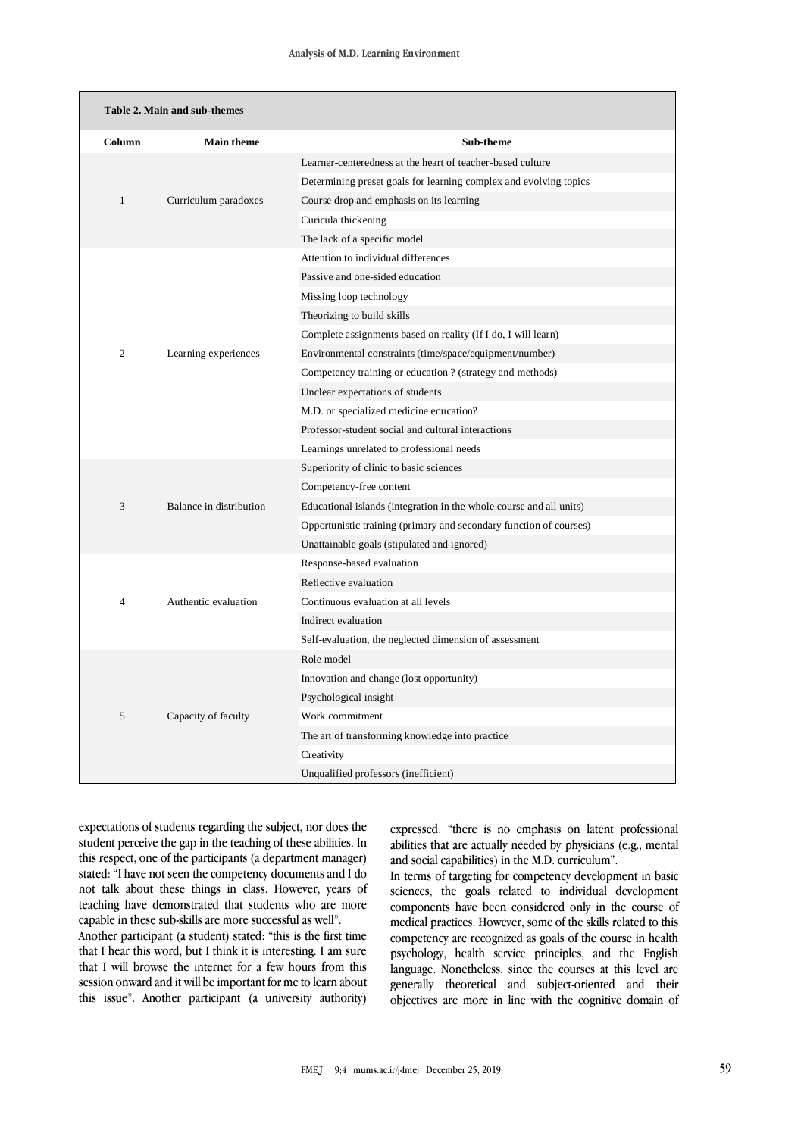| Table 2. Main and sub-themes |                         |                                                                     |  |
|------------------------------|-------------------------|---------------------------------------------------------------------|--|
| Column                       | <b>Main theme</b>       | Sub-theme                                                           |  |
| $\mathbf{1}$                 |                         | Learner-centeredness at the heart of teacher-based culture          |  |
|                              |                         | Determining preset goals for learning complex and evolving topics   |  |
|                              | Curriculum paradoxes    | Course drop and emphasis on its learning                            |  |
|                              |                         | Curicula thickening                                                 |  |
|                              |                         | The lack of a specific model                                        |  |
| $\overline{c}$               | Learning experiences    | Attention to individual differences                                 |  |
|                              |                         | Passive and one-sided education                                     |  |
|                              |                         | Missing loop technology                                             |  |
|                              |                         | Theorizing to build skills                                          |  |
|                              |                         | Complete assignments based on reality (If I do, I will learn)       |  |
|                              |                         | Environmental constraints (time/space/equipment/number)             |  |
|                              |                         | Competency training or education ? (strategy and methods)           |  |
|                              |                         | Unclear expectations of students                                    |  |
|                              |                         | M.D. or specialized medicine education?                             |  |
|                              |                         | Professor-student social and cultural interactions                  |  |
|                              |                         | Learnings unrelated to professional needs                           |  |
| 3                            |                         | Superiority of clinic to basic sciences                             |  |
|                              | Balance in distribution | Competency-free content                                             |  |
|                              |                         | Educational islands (integration in the whole course and all units) |  |
|                              |                         | Opportunistic training (primary and secondary function of courses)  |  |
|                              |                         | Unattainable goals (stipulated and ignored)                         |  |
| 4                            | Authentic evaluation    | Response-based evaluation                                           |  |
|                              |                         | Reflective evaluation                                               |  |
|                              |                         | Continuous evaluation at all levels                                 |  |
|                              |                         | Indirect evaluation                                                 |  |
|                              |                         | Self-evaluation, the neglected dimension of assessment              |  |
| 5                            |                         | Role model                                                          |  |
|                              | Capacity of faculty     | Innovation and change (lost opportunity)                            |  |
|                              |                         | Psychological insight                                               |  |
|                              |                         | Work commitment                                                     |  |
|                              |                         | The art of transforming knowledge into practice                     |  |
|                              |                         | Creativity                                                          |  |
|                              |                         | Unqualified professors (inefficient)                                |  |

expectations of students regarding the subject, nor does the student perceive the gap in the teaching of these abilities. In this respect, one of the participants (a department manager) stated: "I have not seen the competency documents and I do not talk about these things in class. However, years of teaching have demonstrated that students who are more capable in these sub-skills are more successful as well".

Another participant (a student) stated: "this is the first time that I hear this word, but I think it is interesting. I am sure that I will browse the internet for a few hours from this session onward and it will be important for me to learn about this issue". Another participant (a university authority) expressed: "there is no emphasis on latent professional abilities that are actually needed by physicians (e.g., mental and social capabilities) in the M.D. curriculum".

In terms of targeting for competency development in basic sciences, the goals related to individual development components have been considered only in the course of medical practices. However, some of the skills related to this competency are recognized as goals of the course in health psychology, health service principles, and the English language. Nonetheless, since the courses at this level are generally theoretical and subject-oriented and their objectives are more in line with the cognitive domain of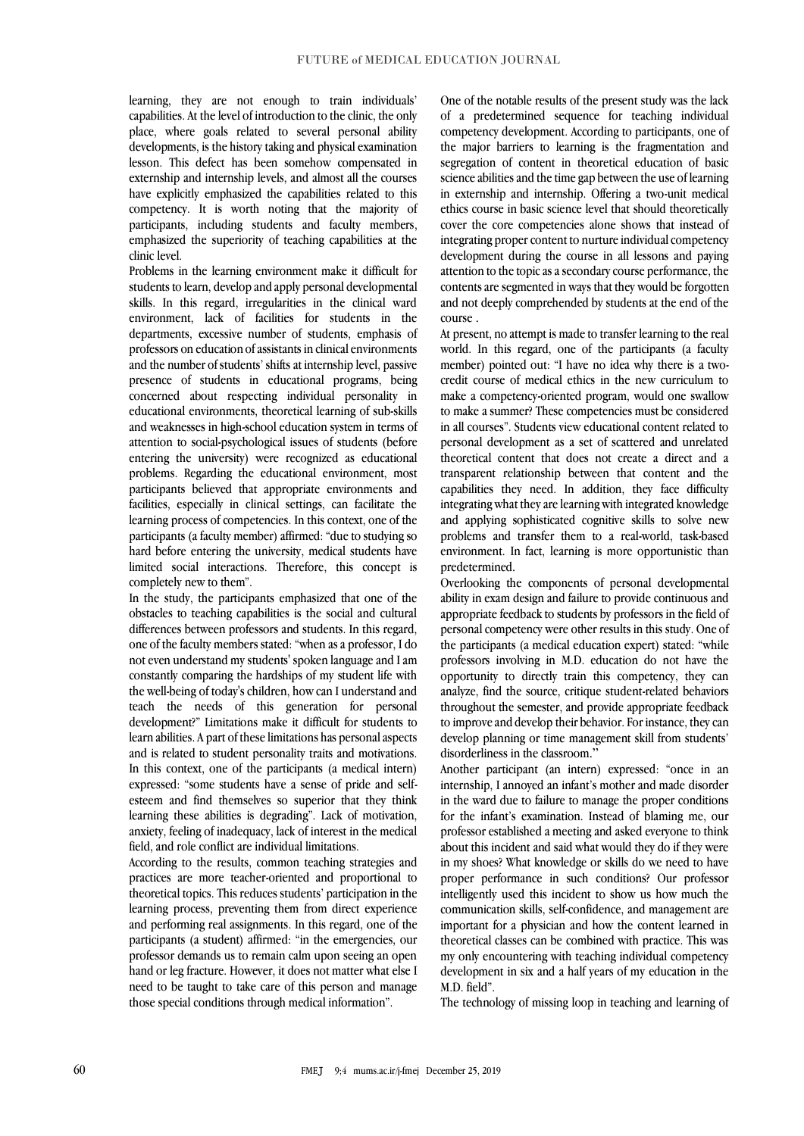learning, they are not enough to train individuals' capabilities. At the level of introduction to the clinic, the only place, where goals related to several personal ability developments, is the history taking and physical examination lesson. This defect has been somehow compensated in externship and internship levels, and almost all the courses have explicitly emphasized the capabilities related to this competency. It is worth noting that the majority of participants, including students and faculty members, emphasized the superiority of teaching capabilities at the clinic level.

Problems in the learning environment make it difficult for students to learn, develop and apply personal developmental skills. In this regard, irregularities in the clinical ward environment, lack of facilities for students in the departments, excessive number of students, emphasis of professors on education of assistants in clinical environments and the number of students' shifts at internship level, passive presence of students in educational programs, being concerned about respecting individual personality in educational environments, theoretical learning of sub-skills and weaknesses in high-school education system in terms of attention to social-psychological issues of students (before entering the university) were recognized as educational problems. Regarding the educational environment, most participants believed that appropriate environments and facilities, especially in clinical settings, can facilitate the learning process of competencies. In this context, one of the participants (a faculty member) affirmed: "due to studying so hard before entering the university, medical students have limited social interactions. Therefore, this concept is completely new to them".

In the study, the participants emphasized that one of the obstacles to teaching capabilities is the social and cultural differences between professors and students. In this regard, one of the faculty members stated: "when as a professor, I do not even understand my students' spoken language and I am constantly comparing the hardships of my student life with the well-being of today's children, how can I understand and teach the needs of this generation for personal development?" Limitations make it difficult for students to learn abilities. A part of these limitations has personal aspects and is related to student personality traits and motivations. In this context, one of the participants (a medical intern) expressed: "some students have a sense of pride and selfesteem and find themselves so superior that they think learning these abilities is degrading". Lack of motivation, anxiety, feeling of inadequacy, lack of interest in the medical field, and role conflict are individual limitations.

According to the results, common teaching strategies and practices are more teacher-oriented and proportional to theoretical topics. This reduces students' participation in the learning process, preventing them from direct experience and performing real assignments. In this regard, one of the participants (a student) affirmed: "in the emergencies, our professor demands us to remain calm upon seeing an open hand or leg fracture. However, it does not matter what else I need to be taught to take care of this person and manage those special conditions through medical information".

One of the notable results of the present study was the lack of a predetermined sequence for teaching individual competency development. According to participants, one of the major barriers to learning is the fragmentation and segregation of content in theoretical education of basic science abilities and the time gap between the use of learning in externship and internship. Offering a two-unit medical ethics course in basic science level that should theoretically cover the core competencies alone shows that instead of integrating proper content to nurture individual competency development during the course in all lessons and paying attention to the topic as a secondary course performance, the contents are segmented in ways that they would be forgotten and not deeply comprehended by students at the end of the course .

At present, no attempt is made to transfer learning to the real world. In this regard, one of the participants (a faculty member) pointed out: "I have no idea why there is a twocredit course of medical ethics in the new curriculum to make a competency-oriented program, would one swallow to make a summer? These competencies must be considered in all courses". Students view educational content related to personal development as a set of scattered and unrelated theoretical content that does not create a direct and a transparent relationship between that content and the capabilities they need. In addition, they face difficulty integrating what they are learning with integrated knowledge and applying sophisticated cognitive skills to solve new problems and transfer them to a real-world, task-based environment. In fact, learning is more opportunistic than predetermined.

Overlooking the components of personal developmental ability in exam design and failure to provide continuous and appropriate feedback to students by professors in the field of personal competency were other results in this study. One of the participants (a medical education expert) stated: "while professors involving in M.D. education do not have the opportunity to directly train this competency, they can analyze, find the source, critique student-related behaviors throughout the semester, and provide appropriate feedback to improve and develop their behavior. For instance, they can develop planning or time management skill from students' disorderliness in the classroom."

Another participant (an intern) expressed: "once in an internship, I annoyed an infant's mother and made disorder in the ward due to failure to manage the proper conditions for the infant's examination. Instead of blaming me, our professor established a meeting and asked everyone to think about this incident and said what would they do if they were in my shoes? What knowledge or skills do we need to have proper performance in such conditions? Our professor intelligently used this incident to show us how much the communication skills, self-confidence, and management are important for a physician and how the content learned in theoretical classes can be combined with practice. This was my only encountering with teaching individual competency development in six and a half years of my education in the M.D. field".

The technology of missing loop in teaching and learning of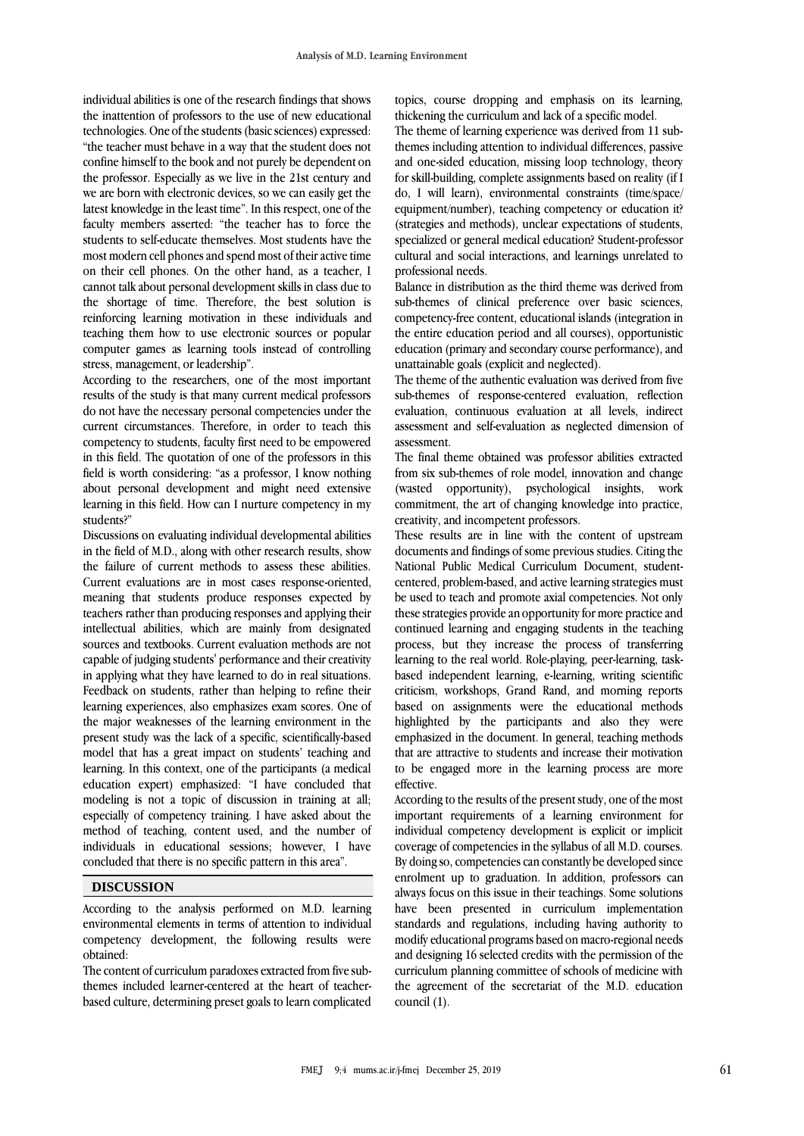individual abilities is one of the research findings that shows the inattention of professors to the use of new educational technologies. One of the students (basic sciences) expressed: "the teacher must behave in a way that the student does not confine himself to the book and not purely be dependent on the professor. Especially as we live in the 21st century and we are born with electronic devices, so we can easily get the latest knowledge in the least time". In this respect, one of the faculty members asserted: "the teacher has to force the students to self-educate themselves. Most students have the most modern cell phones and spend most of their active time on their cell phones. On the other hand, as a teacher, I cannot talk about personal development skills in class due to the shortage of time. Therefore, the best solution is reinforcing learning motivation in these individuals and teaching them how to use electronic sources or popular computer games as learning tools instead of controlling stress, management, or leadership".

According to the researchers, one of the most important results of the study is that many current medical professors do not have the necessary personal competencies under the current circumstances. Therefore, in order to teach this competency to students, faculty first need to be empowered in this field. The quotation of one of the professors in this field is worth considering: "as a professor, I know nothing about personal development and might need extensive learning in this field. How can I nurture competency in my students?"

Discussions on evaluating individual developmental abilities in the field of M.D., along with other research results, show the failure of current methods to assess these abilities. Current evaluations are in most cases response-oriented, meaning that students produce responses expected by teachers rather than producing responses and applying their intellectual abilities, which are mainly from designated sources and textbooks. Current evaluation methods are not capable of judging students' performance and their creativity in applying what they have learned to do in real situations. Feedback on students, rather than helping to refine their learning experiences, also emphasizes exam scores. One of the major weaknesses of the learning environment in the present study was the lack of a specific, scientifically-based model that has a great impact on students' teaching and learning. In this context, one of the participants (a medical education expert) emphasized: "I have concluded that modeling is not a topic of discussion in training at all; especially of competency training. I have asked about the method of teaching, content used, and the number of individuals in educational sessions; however, I have concluded that there is no specific pattern in this area".

#### **DISCUSSION**

According to the analysis performed on M.D. learning environmental elements in terms of attention to individual competency development, the following results were obtained:

The content of curriculum paradoxes extracted from five subthemes included learner-centered at the heart of teacherbased culture, determining preset goals to learn complicated topics, course dropping and emphasis on its learning, thickening the curriculum and lack of a specific model.

The theme of learning experience was derived from 11 subthemes including attention to individual differences, passive and one-sided education, missing loop technology, theory for skill-building, complete assignments based on reality (if I do, I will learn), environmental constraints (time/space/ equipment/number), teaching competency or education it? (strategies and methods), unclear expectations of students, specialized or general medical education? Student-professor cultural and social interactions, and learnings unrelated to professional needs.

Balance in distribution as the third theme was derived from sub-themes of clinical preference over basic sciences, competency-free content, educational islands (integration in the entire education period and all courses), opportunistic education (primary and secondary course performance), and unattainable goals (explicit and neglected).

The theme of the authentic evaluation was derived from five sub-themes of response-centered evaluation, reflection evaluation, continuous evaluation at all levels, indirect assessment and self-evaluation as neglected dimension of assessment.

The final theme obtained was professor abilities extracted from six sub-themes of role model, innovation and change (wasted opportunity), psychological insights, work commitment, the art of changing knowledge into practice, creativity, and incompetent professors.

These results are in line with the content of upstream documents and findings of some previous studies. Citing the National Public Medical Curriculum Document, studentcentered, problem-based, and active learning strategies must be used to teach and promote axial competencies. Not only these strategies provide an opportunity for more practice and continued learning and engaging students in the teaching process, but they increase the process of transferring learning to the real world. Role-playing, peer-learning, taskbased independent learning, e-learning, writing scientific criticism, workshops, Grand Rand, and morning reports based on assignments were the educational methods highlighted by the participants and also they were emphasized in the document. In general, teaching methods that are attractive to students and increase their motivation to be engaged more in the learning process are more effective.

According to the results of the present study, one of the most important requirements of a learning environment for individual competency development is explicit or implicit coverage of competencies in the syllabus of all M.D. courses. By doing so, competencies can constantly be developed since enrolment up to graduation. In addition, professors can always focus on this issue in their teachings. Some solutions have been presented in curriculum implementation standards and regulations, including having authority to modify educational programs based on macro-regional needs and designing 16 selected credits with the permission of the curriculum planning committee of schools of medicine with the agreement of the secretariat of the M.D. education council (1).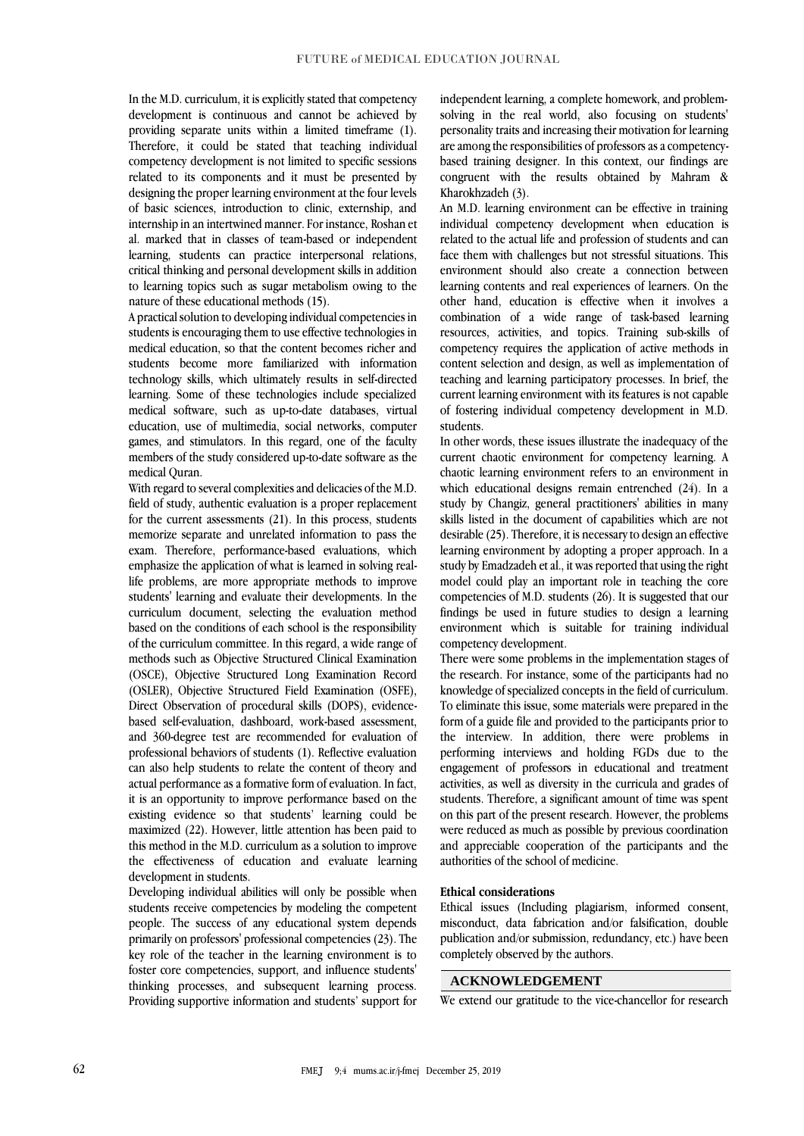In the M.D. curriculum, it is explicitly stated that competency development is continuous and cannot be achieved by providing separate units within a limited timeframe (1). Therefore, it could be stated that teaching individual competency development is not limited to specific sessions related to its components and it must be presented by designing the proper learning environment at the four levels of basic sciences, introduction to clinic, externship, and internship in an intertwined manner. For instance, Roshan et al. marked that in classes of team-based or independent learning, students can practice interpersonal relations, critical thinking and personal development skills in addition to learning topics such as sugar metabolism owing to the nature of these educational methods (15).

A practical solution to developing individual competencies in students is encouraging them to use effective technologies in medical education, so that the content becomes richer and students become more familiarized with information technology skills, which ultimately results in self-directed learning. Some of these technologies include specialized medical software, such as up-to-date databases, virtual education, use of multimedia, social networks, computer games, and stimulators. In this regard, one of the faculty members of the study considered up-to-date software as the medical Quran.

With regard to several complexities and delicacies of the M.D. field of study, authentic evaluation is a proper replacement for the current assessments (21). In this process, students memorize separate and unrelated information to pass the exam. Therefore, performance-based evaluations, which emphasize the application of what is learned in solving reallife problems, are more appropriate methods to improve students' learning and evaluate their developments. In the curriculum document, selecting the evaluation method based on the conditions of each school is the responsibility of the curriculum committee. In this regard, a wide range of methods such as Objective Structured Clinical Examination (OSCE), Objective Structured Long Examination Record (OSLER), Objective Structured Field Examination (OSFE), Direct Observation of procedural skills (DOPS), evidencebased self-evaluation, dashboard, work-based assessment, and 360-degree test are recommended for evaluation of professional behaviors of students (1). Reflective evaluation can also help students to relate the content of theory and actual performance as a formative form of evaluation. In fact, it is an opportunity to improve performance based on the existing evidence so that students' learning could be maximized (22). However, little attention has been paid to this method in the M.D. curriculum as a solution to improve the effectiveness of education and evaluate learning development in students.

Developing individual abilities will only be possible when students receive competencies by modeling the competent people. The success of any educational system depends primarily on professors' professional competencies (23). The key role of the teacher in the learning environment is to foster core competencies, support, and influence students' thinking processes, and subsequent learning process. Providing supportive information and students' support for independent learning, a complete homework, and problemsolving in the real world, also focusing on students' personality traits and increasing their motivation for learning are among the responsibilities of professors as a competencybased training designer. In this context, our findings are congruent with the results obtained by Mahram & Kharokhzadeh (3).

An M.D. learning environment can be effective in training individual competency development when education is related to the actual life and profession of students and can face them with challenges but not stressful situations. This environment should also create a connection between learning contents and real experiences of learners. On the other hand, education is effective when it involves a combination of a wide range of task-based learning resources, activities, and topics. Training sub-skills of competency requires the application of active methods in content selection and design, as well as implementation of teaching and learning participatory processes. In brief, the current learning environment with its features is not capable of fostering individual competency development in M.D. students.

In other words, these issues illustrate the inadequacy of the current chaotic environment for competency learning. A chaotic learning environment refers to an environment in which educational designs remain entrenched (24). In a study by Changiz, general practitioners' abilities in many skills listed in the document of capabilities which are not desirable (25). Therefore, it is necessary to design an effective learning environment by adopting a proper approach. In a study by Emadzadeh et al., it was reported that using the right model could play an important role in teaching the core competencies of M.D. students (26). It is suggested that our findings be used in future studies to design a learning environment which is suitable for training individual competency development.

There were some problems in the implementation stages of the research. For instance, some of the participants had no knowledge of specialized concepts in the field of curriculum. To eliminate this issue, some materials were prepared in the form of a guide file and provided to the participants prior to the interview. In addition, there were problems in performing interviews and holding FGDs due to the engagement of professors in educational and treatment activities, as well as diversity in the curricula and grades of students. Therefore, a significant amount of time was spent on this part of the present research. However, the problems were reduced as much as possible by previous coordination and appreciable cooperation of the participants and the authorities of the school of medicine.

#### **Ethical considerations**

Ethical issues (Including plagiarism, informed consent, misconduct, data fabrication and/or falsification, double publication and/or submission, redundancy, etc.) have been completely observed by the authors.

### **ACKNOWLEDGEMENT**

We extend our gratitude to the vice-chancellor for research